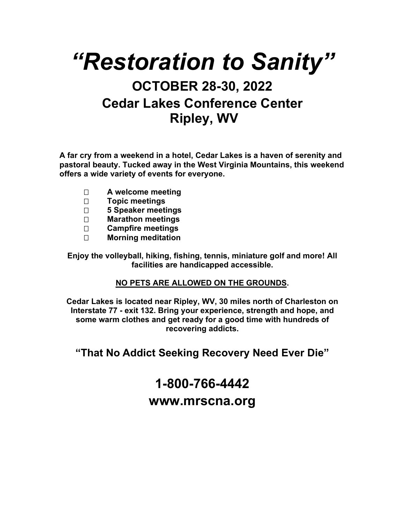# *"Restoration to Sanity"*

## **OCTOBER 28-30, 2022 Cedar Lakes Conference Center Ripley, WV**

**A far cry from a weekend in a hotel, Cedar Lakes is a haven of serenity and pastoral beauty. Tucked away in the West Virginia Mountains, this weekend offers a wide variety of events for everyone.**

- **A welcome meeting**
- **Topic meetings**
- **5 Speaker meetings**
- **Marathon meetings**
- **Campfire meetings**
- **Morning meditation**

**Enjoy the volleyball, hiking, fishing, tennis, miniature golf and more! All facilities are handicapped accessible.**

#### **NO PETS ARE ALLOWED ON THE GROUNDS.**

**Cedar Lakes is located near Ripley, WV, 30 miles north of Charleston on Interstate 77 - exit 132. Bring your experience, strength and hope, and some warm clothes and get ready for a good time with hundreds of recovering addicts.**

**"That No Addict Seeking Recovery Need Ever Die"**

## **1-800-766-4442 www.mrscna.org**